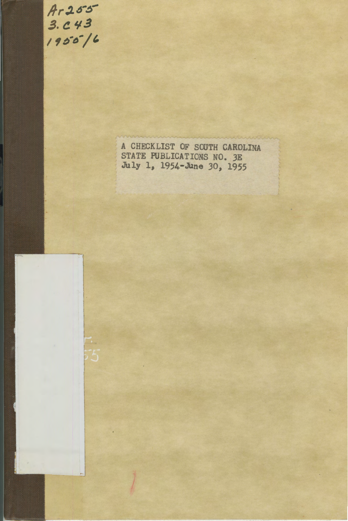/fr .1~ *..* ~- 3. C 43<br>1955 / b

A CHECKLIST OF SOUTH CAROLINA STATE PUBLICATIONS NO. JE July 1, 1954-JUne *30,* 1955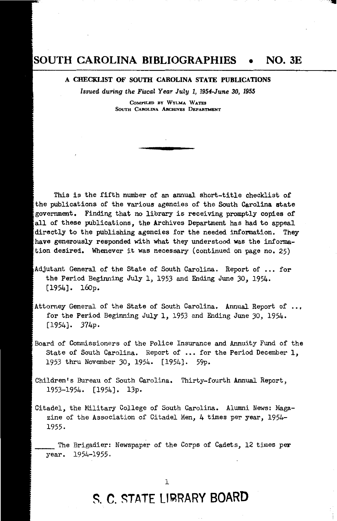### **SOUTH CAROLINA BIBLIOGRAPHIES** • **NO. 3E**

A CHECKLIST OF SOUTH CAROLINA STATE PUBLICATIONS

*Issued during the Fiscal Year July l, 1954-June 30, 1955* 

**CoMPILED BY WYLMA WATES**  SOUTH CAROLINA ARCHIVES DEPARTMENT

This is the fifth number of an annual short-title checklist of the publications of the various agencies of the South Carolina state government. Finding that no library is receiving promptly copies of all of these publications, the Archives Department has had to appeal directly to the publishing agencies for the needed information. They have generously responded with what they understood was the information desired. Whenever it was necessary (continued on page no. 25)

- Adjutant General of the State of South Carolina. Report of ... for the Period Beginning July *l,* 1953 and Ending June *30,* 1954. [1954]. 16op.
- Attorney General of the State of South Carolina. Annual Report of for the Period Beginning July l, 1953 and Ending June *30,* 1954. [1954]. 374p.
- Board of Commissioners of the Police Insurance and Annuity Fund of the State of South Carolina. Report of ... for the Period December 1, 1953 thru November *30,* 1954. [1954]. 59p.
- Children's Bureau of South Carolina. Thirty-fourth Annual Report, 1953-1954. [1954]. 13p.
- Citadel, the Military College *of* South Carolina. Alumni News: Magazine of the Association of Citadel Men, 4 times per year, 1954- 1955.

The Brigadier: Newspaper of the Corps of Cadets, 12 times per year. 1954-1955.

## ~. **C.** ~TATE U~RARY **BOARD**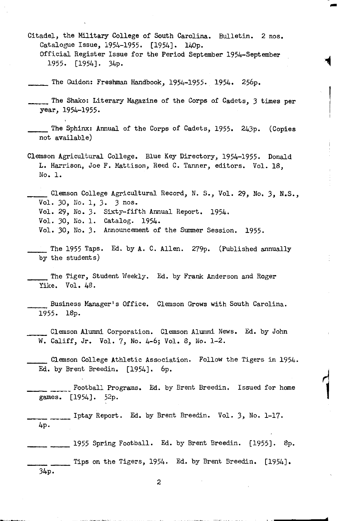Citadel, the Military College of South Carolina. Bulletin. 2 nos. Catalogue Issue, 1954-1955. [1954]. 140p. Official Register Issue for the Period September 1954-September 1955. [1954]. 34p.

-

- The Guidon: Freshman Handbook, 1954-1955. 1954. 256p.
- The Shako: Literary Magazine of the Corps of Cadets, 3 times per year, 1954-1955.

Clemson Agricultural College. Blue Key Directory, 1954-1955. Donald L. Harrison, Joe F. Mattison, Reed C. Tanner, editors. Vol. 18, No. l.

\_\_ Clemson College Agricultural Record, N. s., Vol. 29, No. *3,* N.S., Vol. 30, No. 1, *3.* 3 nos. Vol. 29, No. 3. Sixty-fifth Annual Report. 1954. Vol. 30, No. 1. Catalog. 1954. Vol. 30, No. 3. Announcement of the Summer Session. 1955.

\_\_ The 1955 Taps. Ed. by A. C. Allen. 279p. (Published annually by the students)

The Tiger, Student Weekly. Ed. by Frank Anderson and Roger Yike. Vol. 48.

Business Manager's Office. Clemson Grows with South Carolina. 1955. 18p.

Clemson Alumni Corporation. Clemson Alumni News. Ed. by John w. Califf, Jr. Vol. 7, No. 4-6; Vol. 8, No. 1-2.

\_\_ Clemson College Athletic Association. Follow the Tigers in 1954. Ed. by Brent Breedin. [1954]. 6p.

\_\_\_\_\_ Football Programs. Ed. by Brent Breedin. Issued for home games. [1954]. 52p.

\_\_\_\_ Iptay Report. Ed. by Brent Breedin. Vol. *3,* No. 1-17. 4p.

1955 Spring Football. Ed. by Brent Breedin. [1955]. 8p. \_\_\_\_ Tips on the Tigers, 1954. Ed. by Brent Breedin. [1954]. 34p.

The Sphinx: Annual of the Corps of Cadets, 1955. 243p. (Copies not available)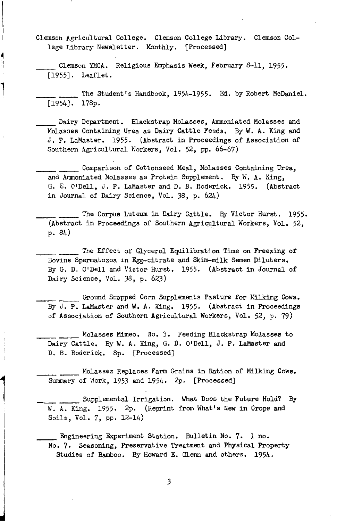Clemson Agricultural College. Clemson College Library. Clemson College Library Newsletter. Monthly. [Processed]

Clemson YMCA. Religious Emphasis Week, February 8-11, 1955. [1955]. Leaflet.

The Student's Handbook, 1954-1955. Ed. by Robert McDaniel. [1954]. 178p.

\_\_\_\_ Dairy Department. Blackstrap Molasses, Ammoniated Molasses and Molasses Containing Urea as Dairy Cattle Feeds. By W. **A.** King and J. P. LaMaster. 1955. (Abstract in Proceedings of Association of Southern Agricultural Workers, Vol. 52, pp. 66-67)

\_\_\_\_\_ Comparison of Cottonseed Meal, Molasses Containing Urea, and Ammoniated Molasses as Protein Supplement. By W. A. King, G. E. O'Dell, J. **P.** LaMaster and D. B. Roderick. 1955. (Abstract in Journal of Dairy Science, Vol. 38, p. 624)

The Corpus Luteum in Dairy Cattle. By Victor Hurst. 1955. (Abstract in Proceedings of Southern Agricultural Workers, Vol. 52, p. 84) .

\_\_\_\_ \_\_\_\_\_ The Effect of Glycerol Equilibration Time on Freezing of Bovine Spermatozoa in Egg-citrate and Skim-milk Semen Diluters. By G. D. O'Dell and Victor Hurst. 1955. (Abstract in Journal of Dairy Science, Vol. 38, p. 623)

\_\_\_\_\_\_\_\_ Ground Snapped Corn Supplements Pasture for Milking Cows, By J. P. LaMaster and W. A. King. 1955. (Abstract in Proceedings of Association of Southern Agricultural Workers, Vol. 52, p. 79)

\_\_\_\_\_\_ Molasses Mimeo. No. 3. Feeding Blackstrap Molasses to Dairy Cattle. By W. A. King, G. **D.** O'Dell, J. **P.** LaMaster and D. B. Roderick. Bp. [Processed]

\_\_\_\_\_\_ Holasses Replaces Farm Grains in Ration of Milking Cows. Summary of Work, 1953 and 1954. 2p. [Processed]

Supplemental Irrigation. What Does the Future Hold? By W. A. King. 1955. 2p. (Reprint from What's New in Crops and Soils, Vol. 7, pp. 12-14)

Engineering Experiment Station. Bulletin No. 7. 1 no. No. 7. Seasoning, Preservative Treatment and Physical Property Studies of Bamboo. By Howard E. Glenn and others. 1954.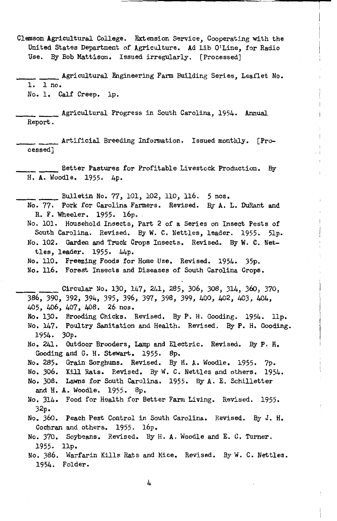Clemson Agricultural College. Extension Service, Cooperating with the United States Department of Agriculture. Ad Lib O'Line, for Radio Use. By Bob Mattison, Issued irregularly. [Processed]

**Agricultural Engineering Farm Building Series, Leaflet No.** 1. 1 no, No. 1. Calf Creep. lp.

\_\_\_\_ Agricultural Progress in South Carolina, 1954. Annual Report.

Artificial Breeding Information. Issued monthly. [Processed]

\_\_\_\_ Better Pastures for Profitable Livestock Production. By H. A. Woodle. 1955. 4p.

\_\_\_\_ Bulletin No, 77, 101, 102, 110, 116. 5 nos.

- No. 77. Pork for Carolina Farmers. Revised. By A. L. DuRant and R. F. Wheeler, 1955. 16p.
- No. 101. Household Insects, Part *2* of a Series on Insect Pests of South Carolina. Revised. By W. C. Nettles, leader. 1955. 5lp. No. 102. Garden and Truck Crops Insects, Revised, By W. C. Nettles, leader. 1955. 44p.
- No. 110. Freezing Foods for Home Use. Revised. 1954. 35p. No, 116. Forest Insects and Diseases of South Carolina Crops.

\_\_\_\_ Circular No. 130, 147, 241, 285, 306, 308, 314, 36o, 370, 386, 390, *392,* 394, 395, 396, 397, 398, 399, 400, 402, 403, 404, 405, 406, 407, 408. 26 nos, No, 130. Brooding Chicks. Revised, By P. H. Gooding. 1954. llp, No. 147. Poultry Sanitation and Health. Revised. By P. H. Gooding. 1954. 30p. No, 241. Outdoor Brooders, Lamp and Electric, Revised. By P. H. Gooding and G. H. Stewart. 1955. Sp. No, 285. Grain Sorghums, Revised. By H. A. Woodle, 1955. 7p. No. 306. Kill Rats. Revised. By W. C. Nettles and others. 1954. No. 308, Lawns for South Carolina. 1955. By A. E. Schilletter and H. A. Woodle. 1955. 8p. No. 314. Food for Health for Better Farm Living. Revised. 1955. 32p. No, 360. Peach Pest Control in South Carolina. Revised. By J. H. Cochran and others. 1955. 16p. No. 370. Soybeans. Revised, By H. A. Woodle and E. C. Turner.

1955. llp. No. 386. Warfarin Kills Rats and Mice. Revised. By W. C. Nettles.

1954. Folder.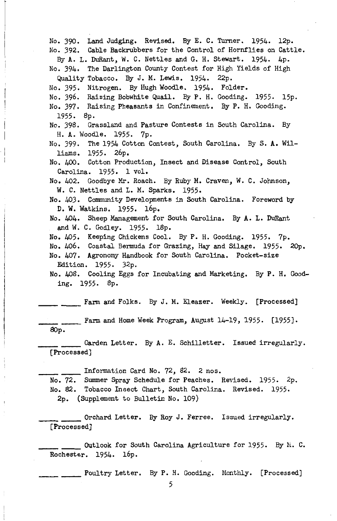No. 390. Land Judging, Revised. By E. C. Turner, 1954. 12p. No. 392. Cable Backrubbers for the Control of Hornflies on Cattle. By A. L. DuRant, W. C. Nettles and G. H. Stewart. 1954. 4p. No. 394. The Darlington County Contest for High Yields of High Quality Tobacco. By J. M. Lewis, 1954. 22p. No. 395. Nitrogen. By Hugh Woodle. 1954. Folder. No. 396. Raising Bobwhite Quail. By P. H. Gooding. 1955. 15p. No. 397. Raising Pheasants in Confinement. By P. H. Gooding. 1955. 8p. No. 398. Grassland and Pasture Contests in South Carolina. By H. A. Woodle. 1955. 7p. No. 399. The 1954 Cotton Contest, South Carolina. By S. A. Williams. 1955. 26p. No. 400. Cotton Production, Insect and Disease Control, South Carolina. 1955. 1 vol, No. 402. Goodbye Mr. Roach. By Ruby M. Craven, W. C. Johnson, W. C. Nettles and L. M. Sparks. 1955. No. 403. Community Developments in South Carolina. Foreword by D. W. Watkins. 1955. 16p. No. 404. Sheep Management for South Carolina. By A. L. DuRant and W. C. Godley. 1955. 18p. No. 405. Keeping Chickens Cool. By P. H. Gooding. 1955. 7p. No. 406. Coastal Bermuda for Grazing, Hay and Silage. 1955. 20p. No. 407. Agronomy Handbook for South Carolina. Pocket-size Edition. 1955. 32p. No. 408. Cooling Eggs for Incubating and Marketing. By P. H. Gooding. 1955. 8p. \_ \_\_\_\_\_\_ Farm and Folks. By J. M. Eleazer. Weekly. [Processed] Farm and Home Week Program, August 14-19, 1955. [1955]. SOp. \_\_\_\_ Garden Letter. By A. E. Schilletter. Issued irregularly. [Processed] \_\_\_\_ Information Card No. 72, 82. 2 nos. No. 72. Summer Spray Schedule for Peaches, Revised, 1955. 2p. No. 82. Tobacco Insect Chart, South Carolina. Revised. 1955. 2p. (Supplement to Bulletin No. 109) \_\_\_\_ Orchard Letter. By Roy J. Ferree. Issued irregularly. [Processed] \_\_\_\_ Outlook for South Carolina Agriculture for 1955. By h. C. Rochester. 1954. 16p.

Foultry Letter. By P. H. Gooding. Monthly. [Processed]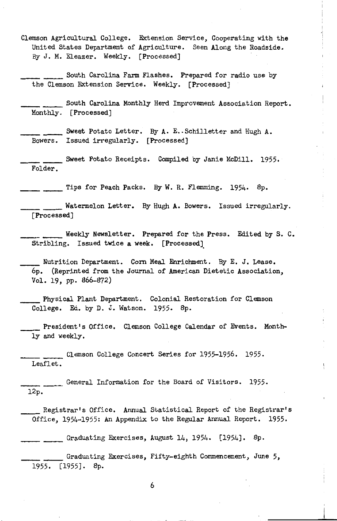Clemson Agricultural College. Extension Service, Cooperating with the United States Department of Agriculture. Seen Along the Roadside. By *J.* M. Eleazer. Weekly. [Processed)

South Carolina Farm Flashes. Prepared for radio use by the Clemson Extension Service. Weekly. [Processed)

\_\_\_\_ South Carolina Monthly Herd Improvement Association Report. Monthly. [Processed]

Sweet Potato Letter. By A. E. Schilletter and Hugh A. Bowers. Issued irregularly. [Processed]

\_\_\_\_ Sweet Potato Receipts. Compiled by Janie McDill. 1955. Folder.

Tips for Peach Packs. By W. R. Flemming. 1954. 8p.

\_\_\_\_ Watermelon Letter. By Hugh A. Bowers. Issued irregularly. [Processed]

Weekly Newsletter. Prepared for the Press. Edited by S. C. Stribling. Issued twice a week. [Processed].

Nutrition Department. Corn Meal Enrichment. By E. J. Lease. 6p. (Reprinted from the Journal of American Dietetic Association, Vol. 19, pp. 866-872)

\_\_ Physical Plant Department. Colonial Restoration for Clemson College. Ed. by D. J. Watson. 1955. 8p.

President's Office. Clemson College Calendar of Events. Monthly and weekly.

Clemson College Concert Series for 1955-1956. 1955. Leaflet.

\_\_\_\_ General Information for the Board of Visitors. 1955. 12p.

\_\_ Registrar's Office. Annual Statistical Report of the Registrar's Office, 1954-1955: An Appendix to the Regular Annual Report. 1955.

 $\frac{1}{2}$  Graduating Exercises, August 14, 1954. [1954]. 8p.

\_\_\_\_ Graduating Exercises, Fifty-eighth Commencement, June 5, 1955. [1955]. 8p.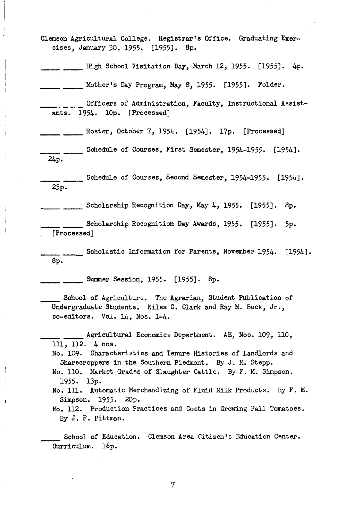- Clemson Agricultural College. Registrar's Office. Graduating Exercises, January 30, 1955. [1955]. Sp.
- \_\_\_\_ High School Visitation Day, March 12, 1955. [1955]. 4p.

 $\frac{1}{100}$  Mother's Day Program, May 8, 1955. [1955]. Folder.

- \_\_\_\_ Officers of Administration, Faculty, Instructional Assistants. 1954. lOp. [Processed)
- \_\_\_\_ \_\_\_\_\_ Roster, October 7, 1954. [1954]. 17p. [Processed]
- . \_\_\_\_\_\_ Schedule of Courses, First Semester, 1954-1955. [1954]. 24p.
- \_\_\_\_ Schedule of Courses, Second Semester, 1954-1955. [1954]. 23p.
- $\frac{1}{2}$  Scholarship Recognition Day, May 4, 1955. [1955]. 8p.
- Scholarship Recognition Day Awards, 1955. [1955]. 5p. [Processed]
- \_\_\_\_ Scholastic Information for Parents, November 1954. [1954]. Sp.

**EXERGE SESSION, 1955.** [1955]. 8p.

\_\_ School of Agriculture. The Agrarian, Student Publication of Undergraduate Students. Niles C. Clark and Ray M. Buck, Jr., co-editors. Vol. 14, Nos. 1-4.

- \_\_\_\_ Agricultural Economics Department. AE, Nos. 109, 110, 111, 112. 4 nos.
	- No. 109. Characteristics and Tenure Histories of Landlords and Sharecroppers in the Southern Piedmont. By *J.* M. Stepp.
	- No. 110. Market Grades of Slaughter Cattle. By F. M. Simpson. 1955. 13p.
	- No. 111. Automatic Merchandizing of Fluid Hilk Products. By F. M. Simpson. 1955. 20p.
	- No. 112. Production Practices and Costs in Growing Fall Tomatoes. By *J.* F. Pittman.

School of Education. Clemson Area Citizen's Education Center. Curriculum. 16p.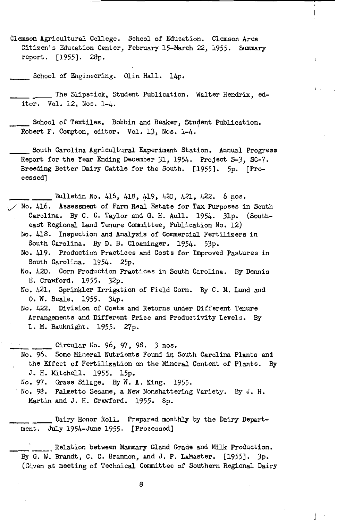Clemson Agricultural College. School of Education. Clemson Area Citizen's Education Center, February 15-March 22, 1955. Summary report. [1955]. 28p.

School of Engineering. Olin Hall. 14p.

\_\_\_\_ The Slipstick, Student Publication. Walter Hendrix, editor. Vol. 12, Nos. 1-4.

School of Textiles. Bobbin and Beaker, Student Publication. Robert F. Compton, editor. Vol. 13, Nos. 1-4.

\_\_ South Carolina Agricultural Experiment Station. Annual Progress Report for the Year Ending December 31, 1954. Project 3-3, SC-7. Breeding Better Dairy Cattle for the South. [1955]. 5p. [Processed)

\_\_\_\_ Bulletin No. 416, 418, 419, 420, 421, 422. 6 nos. No. 416. Assessment of Farm Real Estate for Tax Purposes in South Carolina. By C. C. Taylor and G. H. Aull. 1954. 3lp. (Southeast Regional Land Tenure Committee, Publication No. 12) No. 418. Inspection and Analysis of Commercial Fertilizers in South Carolina. By D. B. Cloaninger. 1954. 53p.

No. 419. Production Practices and Costs for Improved Pastures in South Carolina. 1954. 25p.

No. 420. Corn Production Practices in South Carolina. By Dennis E. Crawford. 1955. 32p.

No. 421. Sprinkler Irrigation of Field Corn. By C. M. Lund and 0. W. Beale. 1955. 34p.

No. 422. Division of Costs and Returns under Different Tenure Arrangements and Different Price and Productivity Levels. By L. M. Bauknight. 1955. 27p.

\_\_\_\_ Circular No. 96, 97, 98. 3 nos.

No. 96. Some Mineral Nutrients Found in South Carolina Plants and the Effect of Fertilization on the Mineral Content of Plants. By J. H. Mitchell. 1955. 15p.

No. 97. Grass Silage. By W. A. King. 1955.

No. 98. Palmetto Sesame, a New Nonshattering Variety. By J. H. Martin and J. H. Crawford. 1955. 8p.

\_\_\_\_ Dairy Honor Roll. Prepared monthly by the Dairy Depart ment. July 1954-June 1955. [Processed)

\_ Relation between Mammary Gland Grade and Milk Production. By G. W. Brandt, C. C. Brannon, and J. P. LaMaster. [1955]. 3p. (Given at meeting of Technical Committee of Southern Regional Dairy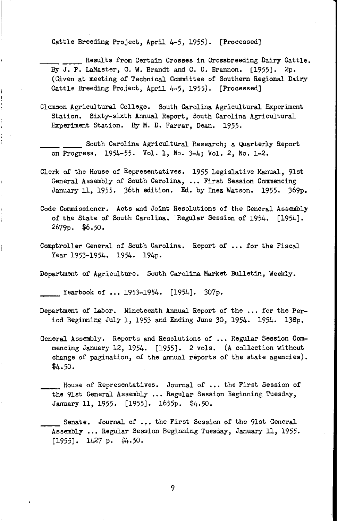Cattle Breeding Project, April 4-5, 1955). [Processed]

\_\_\_\_ Results from Certain Crosses in Crossbreeding Dairy Cattle. By J. P. LaMaster, G. W. Brandt and C. C. Brannon. [1955]. 2p. (Given at meeting of Technical Committee of Southern Regional Dairy Cattle Breeding Project, April 4-5, 1955). [Processed]

- Clemson Agricultural College. South Carolina Agricultural Experiment Station. Sixty-sixth Annual Report, South Carolina Agricultural Experiment Station. By M. D. Farrar, Dean. 1955.
- \_\_\_\_ South Carolina Agricultural Research; a Quarterly Report on Progress. 1954-55. Vol. 1, No. 3-4; Vol. *2,* No. 1-2.
- Clerk of the House of Representatives. 1955 Legislative Manual, 9lst General Assembly of South Carolina, ••• First Session Commencing January 11, 1955. 36th edition. Ed. by Inez Watson. 1955. 369p.
- Code Commissioner. Acts and Joint Resolutions of the General Assembly of the State of South Carolina. Regular Session of 1954. [1954]. 2679p. \$6.50.
- Comptroller General of South Carolina. Report of ... for the Fiscal Year 1953-1954. 1954. 194p.
- Department of Agriculture. South Carolina Market Bulletin, Weekly.

Yearbook of ••• 1953-1954. [1954]. 307p.

- Department of Labor. Nineteenth Annual Report of the ... for the Period Beginning July 1, 1953 and Ending June *30,* 1954. 1954. 138p.
- General Assembly. Reports and Resolutions of ... Regular Session Commencing January 12, 1954. [1955]. 2 vols. (A collection without change of pagination, of the annual reports of the state agencies).  $$4.50.$
- \_\_\_\_ House of Representatives. Journal of ••• the First Session of the 91st General Assembly ... Regular Session Beginning Tuesday, January 11, 1955. [1955]. 1655p. \$4.50.
- \_ Senate. Journal of ... the First Session of the 91st General Assembly ... Regular Session Beginning Tuesday, January 11, 1955.  $[1955]$ . 1427 p. \$4.50.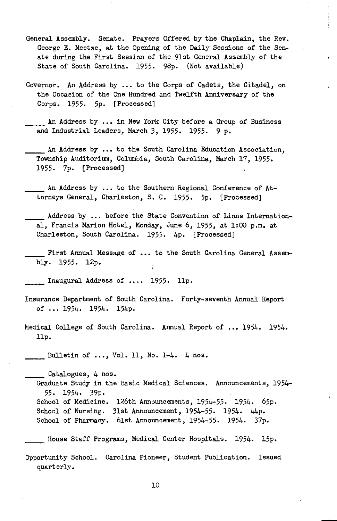- General Assembly. Senate. Prayers Offered by the Chaplain, the Rev. George E. Meetze, at the Opening *of* the Daily Sessions *of* the Senate during the First Session *of* the 9lst General Assembly *of* the State *of* South Carolina. 1955. 9Sp. (Not available)
- Governor. An Address by ••• to the Corps *of* Cadets, the Citadel, on the Occasion *of* the One Hundred and Twelfth Anniversary *of* the Corps. 1955. 5p. [Processed]
- \_\_ An Address by ••• in New York City before a Group *of* Business and Industrial Leaders, March 3, 1955. 1955. 9 p.
- An Address by ... to the South Carolina Education Association. Township Auditorium, Columbia, South Carolina, March 17, 1955, 1955. 7p. [Processed]
- \_\_ An Address by ••• to the Southern Regional Conference *of* Attorneys General, Charleston, S. C. 1955. 5p. [Processed)
- Address by ... before the State Convention of Lions International, Francis Marion Hotel, Monday, June 6, 1955, at 1:00 p.m. at Charleston, South Carolina. 1955. 4p. [Processed)
- First Annual Message of ... to the South Carolina General Assembly. 1955. 12p. ÷

\_\_ Inaugural Address *of* • • .. 1955. llp.

- Insurance Department *of* South Carolina. Forty-seventh Annual Report *of* ••• 1954. 1954. 154p.
- Medical College *of* South Carolina. Annual Report *of* ••• 1954. 1954. llp.

Bulletin *of ••• ,Vol.* 11, No. 1-4. 4 nos.

\_\_ Catalogues, 4 nos. Graduate Study in the Basic Medical Sciences. Announcements, 1954- 55. 1954. 39p. School of Medicine. 126th Announcements, 1954-55. 1954. 65p. School of Nursing. 31st Announcement, 1954-55. 1954. 44p. School *of* Pharmacy. 6lst Announcement, 1954-55. 1954. 37p.

House Staff Programs, Medical Center Hospitals. 1954. 15p.

Opportunity School. Carolina Pioneer, Student Publication. Issued quarterly.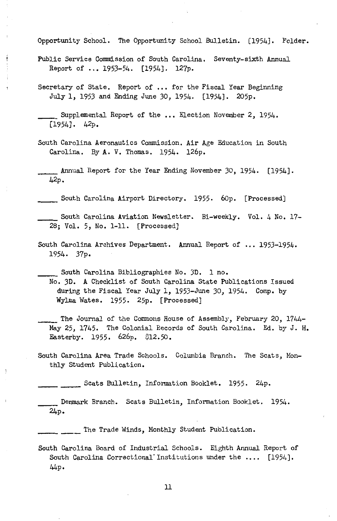Opportunity School. The Opportunity School Bulletin. [1954]. Folder.

- Public Service Commission of South Carolina. Seventy-sixth Annual Report of •.• 1953-54. [1954]. 127p.
- Secretary of State. Report of ... for the Fiscal Year Beginning July 1, 1953 and Ending June 30, 1954. [1954]. 205p.

South Carolina Aeronautics Commission. Air Age Education in South Carolina. By A. V. Thomas. 1954. 126p.

Annual Report for the Year Ending November 30, 1954. [1954]. 42p.

\_\_ South Carolina Airport Directory. 1955. 60p. [Processed]

South Carolina Aviation Newsletter. Bi-weekly. Vol. 4 No. 17- 28; Vol. 5, No. 1-11. [Processed]

South Carolina Archives Department. Annual Report of ... 1953-1954. 1954. 37p.

\_\_ South Carolina Bibliographies No. 3D. 1 no.

No. 3D. A Checklist of South Carolina State Publications Issued during the Fiscal Year July 1, 1953-June 30, 1954. Comp. by Wylma Wates. 1955. 25p. [Processed]

The Journal of the Commons House of Assembly, February 20, 1744-May 25, 1745. The Colonial Records of South Carolina. Ed. by J. H. Easterby. 1955. 626p. \$12.50.

South Carolina Area Trade Schools. Columbia Branch. The Scats, Monthly Student Publication.

Scats Bulletin, Information Booklet. 1955. 24p.

Denmark Branch. Scats Bulletin, Information Booklet. 1954. 24p.

\_\_\_\_\_ The Trade i'linds, Monthly Student Publication.

South Carolina Board of Industrial Schools. Eighth Annual Report of South Carolina Correctional Institutions under the .... [1954]. 44p.

Supplemental Report of the ... Election November 2, 1954. [1954]. 42p.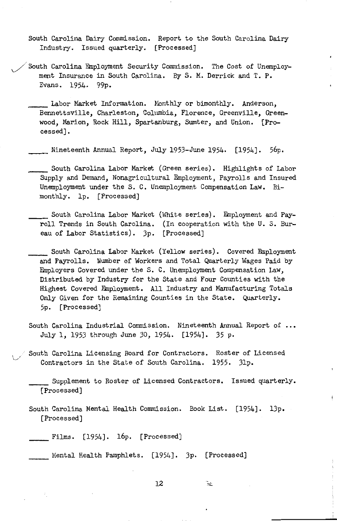- South Carolina Dairy Commission. Report to the South Carolina Dairy Industry. Issued quarterly. [Processed)
- $\Box$  South Carolina Employment Security Commission. The Cost of Unemployment Insurance in South Carolina. By S. M. Derrick and T. P. Evans. 1954. 99p.
	- Labor Market Information. Monthly or bimonthly. Anderson, Bennettsville, Charleston, Columbia, Florence, Greenville, Greenwood, Marion, Rock Hill, Spartanburg, Sumter, and Union. [Processed].
	- Nineteenth Annual Report, July 1953-June 1954. [1954]. 56p.
	- South Carolina Labor Market (Green series). Highlights of Labor Supply and Demand, Nonagricultural Employment, Payrolls and Insured Unemployment under the S. C. Unemployment Compensation Law. Bimonthly. lp. [Processed)
		- South Carolina Labor Market (White series). Employment and Payroll Trends in South Carolina. (In cooperation with the U.S. Bureau of Labor Statistics). 3p. [Processed]
		- South Carolina Labor Market (Yellow series). Covered Employment and Payrolls. Number of Workers and Total Quarterly Wages Paid by Employers Covered under the S. C. Unemployment Compensation Law, Distributed by Industry for the State and Four Counties with the Highest Covered Employment. All Industry and Manufacturing Totals Only Given for the Remaining Counties in the State. Quarterly. 5p. [Processed)
	- South Carolina Industrial Commission. Nineteenth Annual Report of ... July 1, 1953 through June 30, 1954. [1954]. 35 P•
	- South Carolina Licensing Board for Contractors. Roster of Licensed Contractors in the State of South Carolina. 1955. 31p.

\_\_ Supplement to Roster of Licensed Contractors. Issued quarterly. [Processed]

South Carolina Mental Health Commission. Book List. [1954]. 13p. [Processed]

Films. [1954]. 16p. [Processed]

Mental Health Pamphlets. [1954]. 3p. [Processed]

12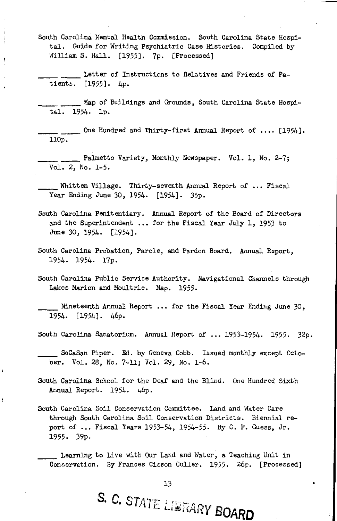- South Carolina Mental Health Commission. South Carolina State Hospital. Guide for Writing Psychiatric Case Histories. Compiled by William S. Hall. [1955]. 7p. [Processed]
- \_\_\_\_ Letter of Instructions to Relatives and Friends of Patients. [1955]. 4p.

\_\_\_\_ Map of Buildings and Grounds, South Carolina State Hospital. 1954. lp.

\_\_\_\_ One Hundred and Thirty-first Annual Report of •••• [1954]. llOp.

\_\_\_\_ Palmetto Variety, Monthly Newspaper. Vol. 1, No. 2-7; Vol. 2, No. 1-5.

\_\_ Whitten Village. Thirty-seventh Annual Report of •• , Fiscal Year Ending June 30, 1954. [1954]. 35p.

- South Carolina Penitentiary. Annual Report of the Board of Directors and the Superintendent ... for the Fiscal Year July 1, 1953 to June 30, 1954. [1954].
- South Carolina Probation, Parole, and Pardon Board, Annual Report, 1954. 1954. 17p.
- South Carolina Public Service Authority. Navigational Channels through Lakes Marion and Moultrie. Hap. 1955.

\_\_ Nineteenth Annual Report • • • for the Fiscal Year Ending June *30,*  1954. [1954]. 46p.

South Carolina Sanatorium. Annual Report of ••• 1953-1954. 1955. 32p.

\_\_ SoCaSan Piper. Ed. by Geneva Cobb. Issued monthly except October. Vol. 28, No. 7-11; Vol. 29, No. 1-6.

- South Carolina School for the Deaf and the Blind. One Hundred Sixth Annual Report. 1954. 46p.
- South Carolina Soil Conservation Committee. Land and Water Care through South Carolina Soil Conservation Districts. Biennial report of ... Fiscal Years 1953-54, 1954-55. By C. P. Guess, Jr. 1955. 39p.

\_\_ Learning to Live with Our Land and \'later, a Teaching Unit in Conservation. By Frances Cisson Culler. 1955. 26p. [Processed]

S. C. STATE LIBRARY BOARD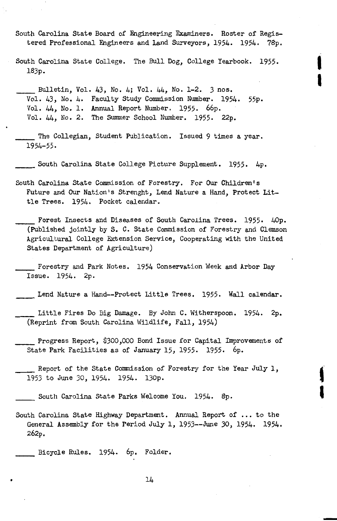- South Carolina State Board *of* Engineering Examiners. Roster *of* Registered Professional Engineers and Land Surveyors, 1954. 1954. 78p.
- South Carolina State College. The Bull Dog, College Yearbook. 1955. 183p.

 $\mathbf{I}$ 

I

' I

- \_\_ Bulletin, *Vol.* 43, No. 4; *Vol.* 44, No. 1-2. 3 nos, *Vol.* 43, No. 4. Faculty Study Commission Number. 1954. 55p. *Vol.* 44, No. l. Annual Report Number. 1955. 66p. *Vol.* 44, No, 2. The Summer School Number. 1955. 22p.
- \_\_ The Collegian, Student Publication. Issued 9 times a year. 1954-55.

South Carolina State College Picture Supplement. 1955. 4p.

- South Carolina State Commission *of* Forestry. For Our Children's Future and Our Nation's Strenght, Lend Nature a Hand, Protect Little Trees. 1954. Pocket calendar.
	- Forest Insects and Diseases of South Carolina Trees. 1955. 40p. (Published jointly by S. C. State Commission *of* Forestry and Clemson Agricultural College Extension Service, Cooperating with the United States Department *of* Agriculture)
- Forestry and Park Notes. 1954 Conservation Week and Arbor Day Issue. 1954. 2p.
- Lend Nature a Hand--Protect Little Trees. 1955. Wall calendar.
- Little Fires Do Big Damage. By John C. Witherspoon. 1954. 2p. (Reprint from South Carolina Wildlife, Fall, 1954)
- \_\_ Progress Report, *\$300,000* Bond Issue for Capital Improvements *of*  State Park Facilities as *of* January 15, 1955. 1955. 6p.
- \_\_ Report *of* the State Commission *of* Forestry for the Year July 1, 1953 to June 30, 1954. 1954. l30p.
	- South Carolina State Parks Welcome You. 1954. 8p.
- South Carolina State Highway Department. Annual Report *of*  • to the General Assembly for the Period July 1, 1953--June 30, 1954. 1954. 262p.

\_\_ Bicycle Rules. 1954. 6p. Folder.

 $\bullet$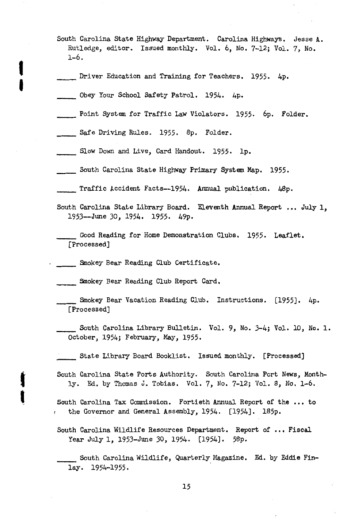- South Carolina State Highway Department. Carolina Highways, Jesse A, Rutledge, editor. Issued monthly. Vol. 6, No. 7-12; Vol. 7, No. 1-6.
- Driver Education and Training for Teachers. 1955. 4p.
- \_\_\_\_\_ Obey Your School Safety Patrol. 1954. 4p.

I

I

t

'

- \_\_ Point System for Traffic Law Violators. 1955. 6p. Folder.
- \_\_ Safe Driving Rules. 1955. 8p. Folder.
- \_\_ Slow Down and Live, Card Handout. 1955. lp.
- \_\_ South Carolina State Highway Primary System Map. 1955.
- \_\_ Traffic Accident Facts--1954. Annual publication. 48p.
- South Carolina State Library Board. Eleventh Annual Report ... July 1, 1953--June *30,* 1954. 1955. 49p.
	- \_\_ Good Reading for Home Demonstration Clubs. 1955. Leaflet, [Processed]
- \_\_ Smokey Bear Reading Club Certificate.
- \_\_ Smokey Bear Reading Club Report Card.
- \_\_ Smokey Bear Vacation Reading Club. Instructions. [1955]. 4p. [Processed]
- \_\_ South Carolina Library Bulletin. Vol. 9, No. 3-4; VoL 10, No, 1. October, 1954; February, May, 1955.
- \_\_ State Library Board Booklist. Issued monthly. [Processed]
- South Carolina State Ports Authority. South Carolina Port News, Monthly. Ed. by Thomas J, Tobias. Vol. *7,* No. 7-12; Vol. 8, No. 1-6.
- South Carolina Tax Commission. Fortieth Annual Report of the ... to the Governor and General Assembly, 1954. [1954]. 185p.
- South Carolina Wildlife Resources Department. Report of ... Fiscal Year July 1, 1953-June 30, 1954. [1954]. 58p.
	- \_\_ South Carolina Wildlife, Quarterly Magazine, Ed. by Eddie Finlay. 1954-1955.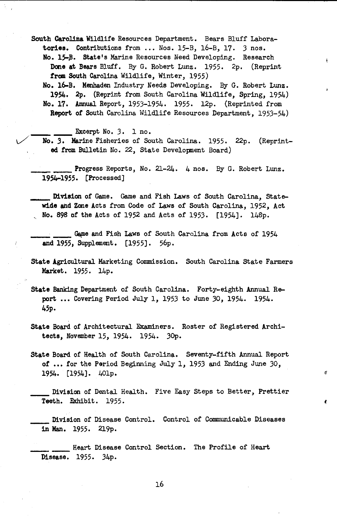South Carolina Wildlife Resources Department. Bears Bluff Laboratories, Contributions from ... Nos. 15-B, 16-B, 17. 3 nos.

No. 15-B. State's Marine Resources Need Developing. Research Done at Bears Bluff. By G. Robert Lunz. 1955. 2p. (Reprint from South Carolina Wildlife, Winter, 1955)

ŧ.

 $\sigma$ 

 $\pmb{\ell}$ 

No. 16-B. Menhaden Industry Needs Developing. By G. Robert Lunz. 1954. 2p. {Reprint from South Carolina Wildlife, Spring, 1954) No. 17. Annual Report, 1953-1954. 1955. 12p. {Reprinted from **Report of South Carolina Wildlife Resources Department, 1953-54)** 

Excerpt No. 3. 1 no.

*No. 3. Marine Fisheries of South Carolina. 1955. 22p. (Reprint*ed from Bulletin No. 22, State Developnent Board)

Progress Reports, No. 21-24. 4 nos. By G. Robert Lunz. 1954-1955. [Processed]

Division of Game. Game and Fish Laws of South Carolina, Statewide and Zone Acts from Code of Laws of South Carolina, 1952, Act , No. 898 of the Acts of 1952 and Acts of 1953. [1954]. 148p.

Game and Fish Laws of South Carolina from Acts of 1954 and 1955, Supplement. [1955]. 56p.

State Agricultural Marketing Commission. South Carolina State Farmers Market. 1955. 14p.

State Banking Department of South Carolina. Forty-eighth Annual Report ... Covering Period July 1, 1953 to June 30, 1954. 1954. 45p.

State Board of Architectural Examiners. Roster of Registered Architects, November 15, 1954. 1954. 30p.

state Board of Health of South Carolina. Seventy-fifth Annual Report of ... for the Period Beginning July 1, 1953 and Ending June 30, 1954. [1954]. 40lp.

Division of Dental Health. Five Easy Steps to Better, Prettier Teeth. Exhibit. 1955.

Division of Disease Control. Control of Communicable Diseases in Man. 1955. 219p.

\_\_\_\_ Heart Disease Control Section. The Profile of Heart Disease. 1955. 34p.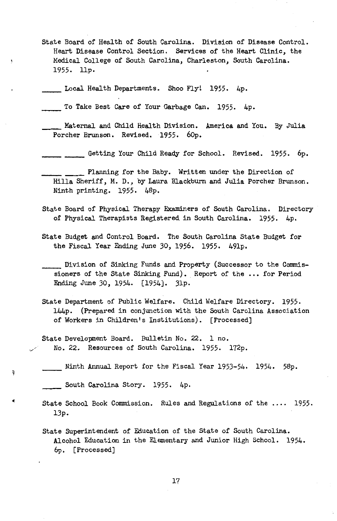State Board of Health of South Carolina. Division of Disease Control. Heart Disease Control Section. Services of the Heart Clinic, the Medical College of South Carolina, Charleston, South Carolina. 1955. llp.

\_\_ Local Health Departments. Shoo Fly! 1955. 4p.

Ņ

à

To Take Best Care of Your Garbage Can. 1955. 4p.

Maternal and Child Health Division. America and You. By Julia Porcher Brunson. Revised. 1955. 60p.

Getting Your Child Ready for School. Revised. 1955. 6p.

\_\_\_\_ Planning for the Baby. Written under the Direction of Hilla Sheriff, M. D., by Laura Blackburn and Julia Porcher Brunson. Ninth printing. 1955. 48p.

- State Board of Physical Therapy EKaminers of South Carolina. Directory of Physical Therapists Registered in South Carolina. 1955. 4p.
- State Budget and Control Board. The South Carolina State Budget for the Fiscal Year Ending June 30, 1956. 1955. 49lp.

\_\_ Division of Sinking Funds and Property (Successor to the Commissioners of the State Sinking Fund). Report of the ... for Period Ending June 30, 1954. [1954]. 3lp.

- State Department of Public Welfare. Child Welfare Directory. 1955. 144p. (Prepared in conjunction with the South Carolina Association of Workers in Children's Institutions). [Processed]
- State Development Board. Bulletin No. 22. 1 no. *v/* No. 22. Resources of South Carolina. 1955. 172p.
- \_\_ Ninth Annual Report for the Fiscal Year 1953-54. 1954. 58p.

\_\_ South Carolina Story. 1955. 4p.

- State School Book Commission. Rules and Regulations of the .... 1955. 13p.
- State Superintendent of Education of the State of South Carolina. Alcohol Education in the Elementary and Junior High School. 1954. 6p. [Processed]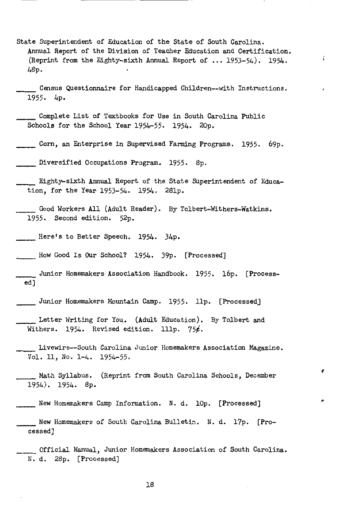State Superintendent of Education of the State of South Carolina. Annual Report of the Division of Teacher Education and Certification. (Reprint from the Eighty-sixth Annual Report of  $\ldots$  1953-54). 1954. 48p.

š.

Census Questionnaire for Handicapped Children--with Instructions. 1955. 4p.

Complete List of Textbooks for Use in South Carolina Public Schools for the School Year 1954-55. 1954. 20p.

Corn, an Enterprise in Supervised Farming Programs. 1955. 69p.

Diversified Occupations Program. 1955. 8p.

Eighty-sixth Annual Report of the State Superintendent of Education, for the Year 1953-54. 1954. 28lp.

\_\_\_\_\_ Good Workers All (Adult Reader). By Tolbert-Withers-Watkins. 1955. Second edition. 52p.

Here's to Better Speech. 1954. 34p.

How Good Is Our School? 1954. 39p. [Processed]

Junior Homemakers Association Handbook. 1955. 16p. [Processed]

Junior Homemakers Mountain Camp. 1955. llp. [Processed]

Letter Writing for You. (Adult Education). By Tolbert and Withers. 1954. Revised edition. 111p.  $756$ .

Livewire--South Carolina Junior Homemakers Association Magazine. Vol. 11, No. 1-4. 1954-55.

\_\_\_\_\_\_ Math Syllabus. (Reprint from South Carolina Schools, December 1954). 1954. 8p.

New Homemakers Camp Information. N. d. lOp. [Processed)

New Homemakers of South Carolina Bulletin. N. d. 17p. [Processed]

\_\_\_\_\_ Official Manual, Junior Homemakers Association of South Carolina. N. d. 28p. [Processed]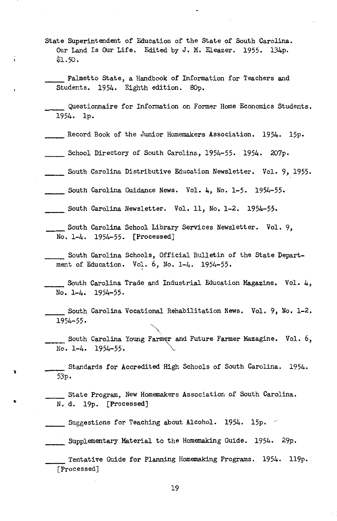State Superintendent of Education of the State of South Carolina. Our Land Is Our Life. Edited by J. M. Eleazer. 1955. 134p. \$1.50.

Palmetto State, a Handbook of Information for Teachers and Students. 1954. Eighth edition. SOp.

Questionnaire for Information on Former Home Economics Students. 1954. lp.

- Record Book of the Junior Homemakers Association. 1954. 15p.
- \_\_\_\_\_\_ School Directory of South Carolina, 1954-55· 1954. 207p.
- South Carolina Distributive Education Newsletter. Vol. 9, 1955.
- South Carolina Guidance News. Vol. 4, No. 1-5. 1954-55.
- South Carolina Newsletter. Vol. 11, No. 1-2. 1954-55.
- South Carolina School Library Services Newsletter. Vol. 9, No. 1-4. 1954-55. [Processed)
	- South Carolina Schools, Official Bulletin of the State Department of Education. Vol. 6, No. 1-4. 1954-55.

South Carolina Trade and Industrial Education Magazine. Vol.  $\mu$ , No. 1-4. 1954-55.

South Carolina Vocational Rehabilitation News. Vol. 9, No. 1-2, 1954-55.

South Carolina Young Farmer and Future Farmer Mazagine. Vol. 6, No. 1-4. 1954-55.

Standards for Accredited High Schools of South Carolina. 1954. 53p.

State Program, New Homemakers Association of South Carolina. N. d. 19p. [Processed)

 $\Box$  Suggestions for Teaching about Alcohol. 1954. 15p.  $\angle$ 

l

ţ

..

\_\_\_\_\_\_ Supplementary Material to the Homemaking Guide. 1954. 29p.

Tentative Guide for Planning Homemaking Programs. 1954. ll9p. [Processed]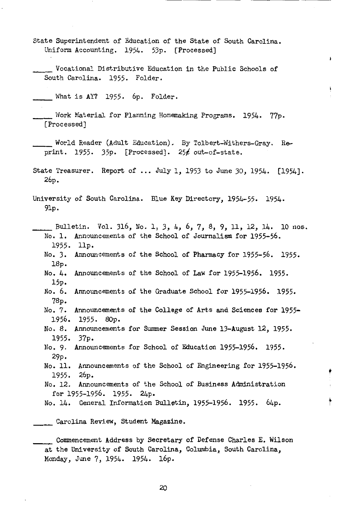State Superintendent of Education of the State of South Carolina. Uniform Accounting. 1954. 53p. [Processed]

Vocational Distributive Education in the Public Schools of South Carolina. 1955. Folder.

What is AY? 1955. 6p. Folder.

Work Material for Planning Homemaking Programs. 1954. 77p. [Processed]

World Reader (Adult Education). By Talbert-Withers-Gray. Reprint. 1955.  $35p.$  [Processed].  $25f$  out-of-state.

State Treasurer. Report of ... July 1, 1953 to June 30, 1954. [1954]. 26p.

University of South Carolina. Blue Key Directory, 1954-55. 1954. 9lp.

Bulletin. Vol. 316, No. 1, 3, 4, 6, 7, 8, 9, 11, 12, 14. 10 nos. No. 1. Announcements of the School of Journalism for 1955-56. 1955. llp. No. 3. Announcements of the School of Pharmacy for 1955-56. 1955. 18p. No. 4. Announcements of the School of Law for 1955-1956. 1955. 15p. No. 6. Announcements of the Graduate School for 1955-1956. 1955. 78p. No. 7. Announcements of the College of Arts and Sciences for 1955- 1956. 1955. 80p. No. 8. Announcements for Summer Session June 13-August 12, 1955. 1955. No. 9. Announcements for School of Education 1955-1956. 1955. 29p. No. 11. Announcements of the School of Engineering for 1955-1956. 1955. 26p. 37p. No. 12. Announcements of the School of Business Administration for 1955-1956. 1955. 24p.

No. 14. General Information Bulletin, 1955-1956. 1955. 64p.

t

 $\lambda$ 

Carolina Review, Student Magazine.

Commencement Address by Secretary of Defense Charles E. Wilson at the University of South Carolina, Columbia, South Carolina, Monday, June 7, 1954. 1954. 16p.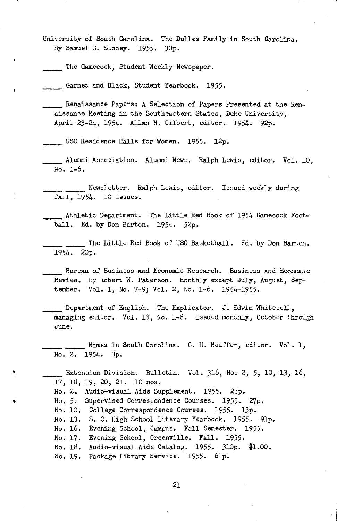University of South Carolina. The Dulles Family in South Carolina. By Samuel G. Stoney. 1955. 30p.

The Gamecock, Student Weekly Newspaper.

Garnet and Black, Student Yearbook. 1955.

Renaissance Papers: A Selection of Papers Presented at the Renaissance Meeting in the Southeastern States, Duke University, April 23-24, 1954. Allan H. Gilbert, editor. 1954. 92p.

USC Residence Halls for Women. 1955. 12p.

Alumni Association. Alumni News. Ralph Lewis, editor. Vol. 10, No. 1-6.

**------** Newsletter. Ralph Lewis, editor. Issued weekly during fall, 1954. 10 issues.

Athletic Department. The Little Red Book of 1954 Gamecock Football. Ed. by Don Barton. 1954. 52p.

The Little Red Book of USC Basketball. Ed. by Don Barton. 1954. 20p.

Bureau of Business and Economic Research. Business and Economic Review. By Robert W. Paterson. Monthly except July, August, September. Vol. 1, No. 7-9; Vol. 2, No. 1-6. 1954-1955.

Department of English. The Explicator. J. Edwin Whitesell, managing editor. Vol. 13, No. 1-8. Issued monthly, October through June.

Names in South Carolina. C. H. Neuffer, editor. Vol. 1, No. 2. 1954. 8p.

Extension Division. Bulletin. Vol. 316, No. 2, 5, 10, 13, 16, 17, 18, 19, 20, 21. 10 nos.

No. 2. Audio-visual Aids Supplement. 1955. 23p.

No. 5. Supervised Correspondence Courses. 1955. 27p.

No. 10. College Correspondence Courses. 1955. 13p.

No. 13. S. C. High School Literary Yearbook. 1955. 9lp.

No. 16. Evening School, Campus. Fall Semester. 1955.

No. 17. Evening School, Greenville. Fall. 1955.

No. 18. Audio-visual Aids Catalog. 1955. 310p. \$1.00.

No, 19. Package Library Service. 1955. 6lp.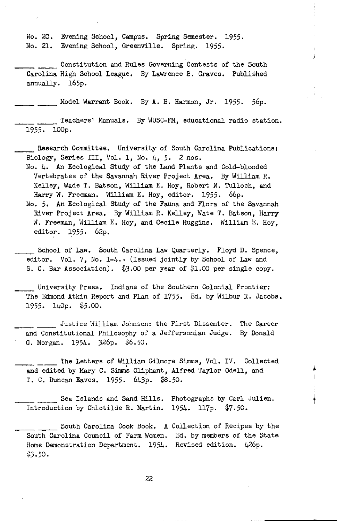No. 20. Evening School, Campus. Spring Semester. 1955. No. 21. Evening School, Greenville. Spring. 1955.

Constitution and Rules Governing Contests of the South Carolina High School League. By Lawrence B. Graves. Published annually. 165p.

Model Warrant Book. By A. B. Harmon, Jr. 1955. 56p.

\_\_\_ Teachers' Manuals. By WUSC-FM, educational radio station. 1955. lOOp.

Research Committee. University of South Carolina Publications: Biology, Series III, Vol. 1, No. 4, 5. 2 nos.

No. 4. An Ecological Study of the Land Plants and Cold-blooded Vertebrates of the Savannah River Project Area. By William R. Kelley, Wade T. Batson, William E. Hoy, Robert N. Tulloch, and Harry W. Freeman. William E. Hoy, editor. 1955. 66p.

No. 5. An Ecological Study of the Fauna and Flora of the Savannah River Project Area. By William R. Kelley, Wate T. Batson, Harry W. Freeman, William E. Hoy, and Cecile Huggins. William E. Hoy, editor. 1955. 62p.

School of Law. South Carolina Law Quarterly. Floyd D. Spence, editor. Vol. 7, No. 1-4. (Issued jointly by School of Law and S. C. Bar Association). \$3.00 per year of \$1.00 per single copy.

University Press. Indians of the Southern Colonial Frontier: The Edmond Atkin Report and Plan of 1755. Ed. by Wilbur R. Jacobs. 1955. 140p. \$5.00.

Uustice William Johnson: the First Dissenter. The Career and Constitutional Philosophy of a Jeffersonian Judge. By Donald G. Morgan. 1954. 326p. \$6.50.

The Letters of William Gilmore Simms, Vol. IV. Collected and edited by Mary C. Simms Oliphant, Alfred Taylor Odell, and T. C. Duncan Eaves. 1955. 643p. \$8.50.

\_\_\_\_ Sea Islands and Sand Hills. Photographs by Carl Julien. Introduction by Chlotilde R. Hartin. 1954. ll7p. \$7.50.

South Carolina Cook Book. A Collection of Recipes by the South Carolina Council of Farm Women. Ed. by members of the State Home Demonstration Department. 1954. Revised edition. 426p. \$3.50.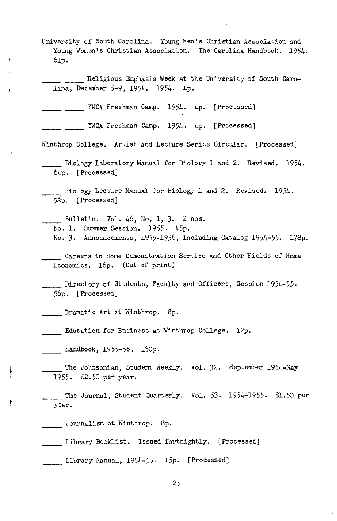- University of South Carolina. Young Men's Christian Association and Young Women's Christian Association. The Carolina Handbook. 1954. 6lp.
	- \_\_\_\_ Religious Emphasis Week at the University of South Carolina, December 5-9, 1954. 1954. 4p.

MCA Freshman Camp. 1954. 4p. [Processed]

\_ \_\_\_\_ YWCA Freshman Camp. 1954. 4p. [Processed]

Winthrop College. Artist and Lecture Series Circular. [Processed]

- \_\_ Biology Laboratory Manual for Biology l and 2. Revised. 1954. 64p. [Processed]
- \_\_ Biology Lecture Manual for Biology l and 2. Revised. 1954. 58p. [Processed]

Bulletin. Vol. 46, No. 1, 3. 2 nos. No. l. Summer Session. 1955. 45p. No. 3. Announcements, 1955-1956, Including Catalog 1954-55. l78p.

Careers in Home Demonstration Service and Other Fields of Home Economics. l6p. (Out of print)

\_\_ Directory of Students, Faculty and Officers, Session 1954-55. 56p. [Processed]

\_\_ Dramatic Art at Winthrop. 8p.

\_\_ Education for Business at Winthrop College. l2p.

\_\_ Handbook, 1955-56. l30p.

- The Johnsonian, Student Weekly. Vol. 32. September 1954-May 1955. \$2.50 per year.
	- The Journal, Student Quarterly. Vol. 53. 1954-1955. \$1.50 per year.

\_\_ Journalism at Winthrop. 8p.

t

ļ

,

\_\_ Library Booklist. Issued fortnightly. [Processed]

\_\_ Library Hanual, 1954-55. l5p. [Processed]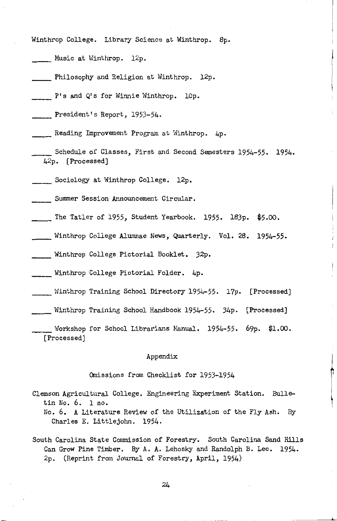Winthrop College. Library Science at Winthrop. Sp.

- Music at Winthrop. 12p.
- Philosophy and Religion at Winthrop. 12p.
- P's and Q's for Winnie Winthrop. lOp.
- President's Report, 1953-54.
- Reading Improvement Program at Winthrop. 4p.
- Schedule of Classes, First and Second Semesters 1954-55. 1954. 42p. [Processed]
- Sociology at Winthrop College. 12p.

Summer Session Announcement Circular.

- The Tatler of 1955, Student Yearbook. 1955. 183p. \$5.00.
- Winthrop College Alumnae News, Quarterly. Vol. 28. 1954-55.

\_\_ Winthrop College Pictorial Booklet. 32p.

\_\_ Winthrop College Pictorial Folder. 4p.

- \_\_ lvinthrop Training School Directory 1954-55. 17p. [Processed]
- Winthrop Training School Handbook 1954-55. 34p. [Processed]

Workshop for School Librarians Manual.  $1954-55.$  69p. \$1.00. [Processed]

#### Appendix

#### Omissions from Checklist for 1953-1954

- Clemson Agricultural College. Engineering Experiment Station. Bulletin No. 6. 1 no.
	- No. 6. A Literature Review of the Utilization of the Fly Ash. By Charles E. Littlejohn. 1954.
- South Carolina State Commission of Forestry. South Carolina Sand Hills Can Grow Pine Timber. By A. A. Lehosky and Randolph B. Lee. 1954. 2p. (Reprint from Journal of Forestry, April, 1954)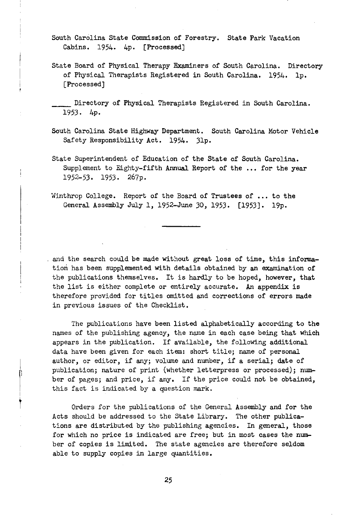South Carolina State Commission of Forestry. State Park Vacation Cabins. 1954. 4p. [Processed)

State Board of Physical Therapy Examiners of South Carolina. Directory of Physical Therapists Registered in South Carolina. 1954. lp. [Processed]

Directory of Physical Therapists Registered in South Carolina. 1953. 4p.

- South Carolina State Highway Department. South Carolina Motor Vehicle Safety Responsibility Act. 1954. 3lp.
- State Superintendent of Education of the State of South Carolina. Supplement to Eighty-fifth Annual Report of the ... for the year 1952-53. 1953. 267p.
- Winthrop College. Report of the Board of Trustees of ... to the General Assembly July 1, 1952-June 30, 1953. [1953]. 19p.

and the search could be made without great loss of time, this information has been supplemented with details obtained by an examination of the publications themselves. It is hardly to be hoped, however, that the list is either complete or entirely accurate. An appendix is therefore provided for titles omitted and corrections of errors made in previous issues of the Checklist.

The publications have been listed alphabetically according to the names of the publishing agency, the name in each case being that which appears in the publication. If available, the following additional data have been given for each item: short title; name of personal author, or editor, if any; volume and number, if a serial; date of publication; nature of print (whether letterpress or processed); number of pages; and price, if any. If the price could not be obtained, this fact is indicated by a question mark.

Orders for the publications of the General Assembly and for the Acts should be addressed to the State Library. The other publications are distributed by the publishing agencies. In general, those for which no price is indicated are free; but in most cases the number of copies is limited. The state agencies are therefore seldom able to supply copies in large quantities.

25

 $\begin{matrix} \end{matrix}$ 

 $\mathbb{R}^n$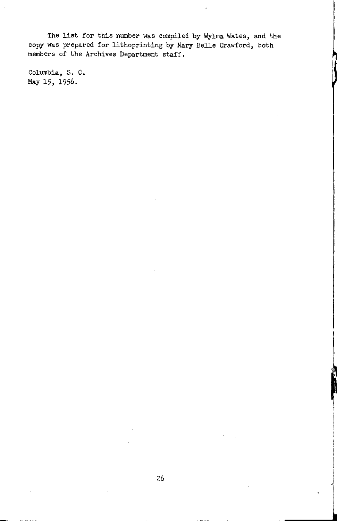The list for this number was compiled by Wylma Wates, and the copy was prepared for lithoprinting by Mary Belle Crawford, both members of the Archives Department staff.

Columbia, S. C. May 15, 1956.

~ l